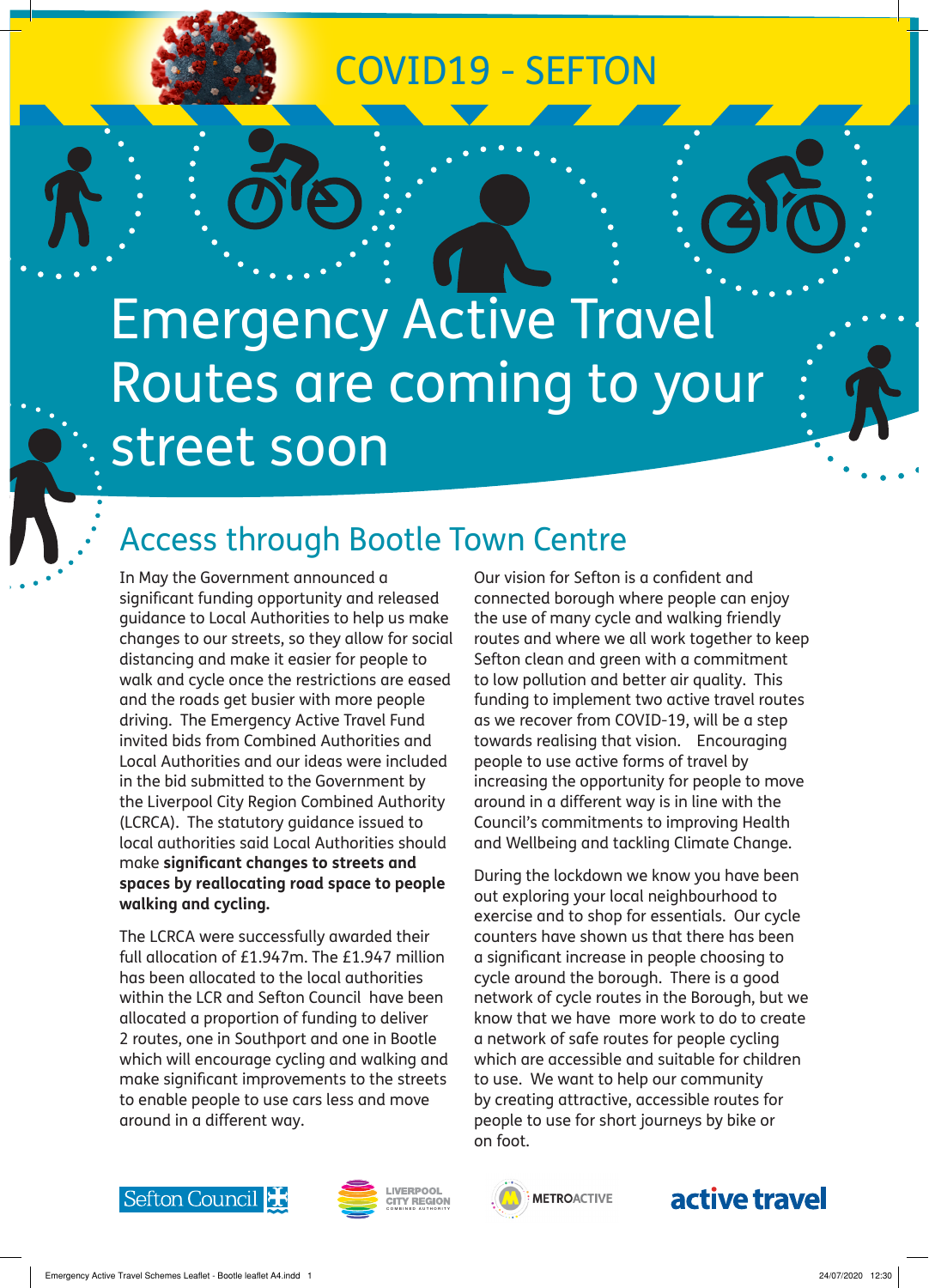# COVID19 - SEFTON

Emergency Active Travel Routes are coming to your street soon

# Access through Bootle Town Centre

In May the Government announced a significant funding opportunity and released guidance to Local Authorities to help us make changes to our streets, so they allow for social distancing and make it easier for people to walk and cycle once the restrictions are eased and the roads get busier with more people driving. The Emergency Active Travel Fund invited bids from Combined Authorities and Local Authorities and our ideas were included in the bid submitted to the Government by the Liverpool City Region Combined Authority (LCRCA). The statutory guidance issued to local authorities said Local Authorities should make **significant changes to streets and spaces by reallocating road space to people walking and cycling.**

The LCRCA were successfully awarded their full allocation of £1.947m. The £1.947 million has been allocated to the local authorities within the LCR and Sefton Council have been allocated a proportion of funding to deliver 2 routes, one in Southport and one in Bootle which will encourage cycling and walking and make significant improvements to the streets to enable people to use cars less and move around in a different way.

Our vision for Sefton is a confident and connected borough where people can enjoy the use of many cycle and walking friendly routes and where we all work together to keep Sefton clean and green with a commitment to low pollution and better air quality. This funding to implement two active travel routes as we recover from COVID-19, will be a step towards realising that vision. Encouraging people to use active forms of travel by increasing the opportunity for people to move around in a different way is in line with the Council's commitments to improving Health and Wellbeing and tackling Climate Change.

During the lockdown we know you have been out exploring your local neighbourhood to exercise and to shop for essentials. Our cycle counters have shown us that there has been a significant increase in people choosing to cycle around the borough. There is a good network of cycle routes in the Borough, but we know that we have more work to do to create a network of safe routes for people cycling which are accessible and suitable for children to use. We want to help our community by creating attractive, accessible routes for people to use for short journeys by bike or on foot.